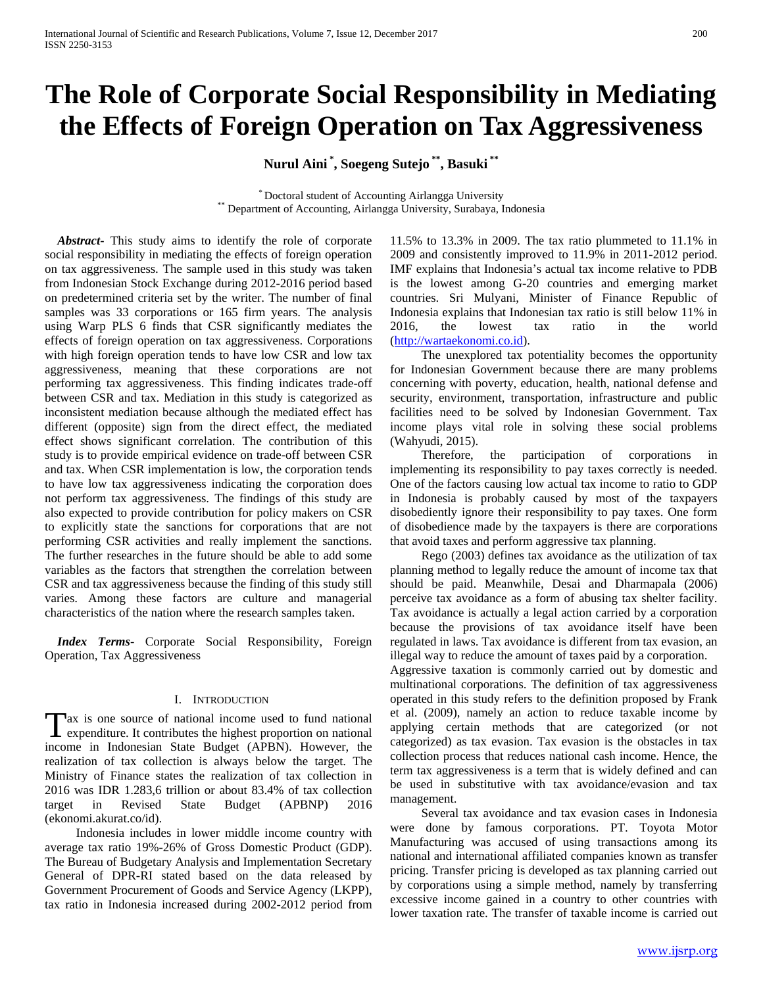# **The Role of Corporate Social Responsibility in Mediating the Effects of Foreign Operation on Tax Aggressiveness**

**Nurul Aini \* , Soegeng Sutejo \*\*, Basuki \*\***

\* Doctoral student of Accounting Airlangga University \*\* Department of Accounting, Airlangga University, Surabaya, Indonesia

 *Abstract***-** This study aims to identify the role of corporate social responsibility in mediating the effects of foreign operation on tax aggressiveness. The sample used in this study was taken from Indonesian Stock Exchange during 2012-2016 period based on predetermined criteria set by the writer. The number of final samples was 33 corporations or 165 firm years. The analysis using Warp PLS 6 finds that CSR significantly mediates the effects of foreign operation on tax aggressiveness. Corporations with high foreign operation tends to have low CSR and low tax aggressiveness, meaning that these corporations are not performing tax aggressiveness. This finding indicates trade-off between CSR and tax. Mediation in this study is categorized as inconsistent mediation because although the mediated effect has different (opposite) sign from the direct effect, the mediated effect shows significant correlation. The contribution of this study is to provide empirical evidence on trade-off between CSR and tax. When CSR implementation is low, the corporation tends to have low tax aggressiveness indicating the corporation does not perform tax aggressiveness. The findings of this study are also expected to provide contribution for policy makers on CSR to explicitly state the sanctions for corporations that are not performing CSR activities and really implement the sanctions. The further researches in the future should be able to add some variables as the factors that strengthen the correlation between CSR and tax aggressiveness because the finding of this study still varies. Among these factors are culture and managerial characteristics of the nation where the research samples taken.

 *Index Terms*- Corporate Social Responsibility, Foreign Operation, Tax Aggressiveness

#### I. INTRODUCTION

ax is one source of national income used to fund national Tax is one source of national income used to fund national<br>expenditure. It contributes the highest proportion on national income in Indonesian State Budget (APBN). However, the realization of tax collection is always below the target. The Ministry of Finance states the realization of tax collection in 2016 was IDR 1.283,6 trillion or about 83.4% of tax collection target in Revised State Budget (APBNP) 2016 (ekonomi.akurat.co/id).

 Indonesia includes in lower middle income country with average tax ratio 19%-26% of Gross Domestic Product (GDP). The Bureau of Budgetary Analysis and Implementation Secretary General of DPR-RI stated based on the data released by Government Procurement of Goods and Service Agency (LKPP), tax ratio in Indonesia increased during 2002-2012 period from

11.5% to 13.3% in 2009. The tax ratio plummeted to 11.1% in 2009 and consistently improved to 11.9% in 2011-2012 period. IMF explains that Indonesia's actual tax income relative to PDB is the lowest among G-20 countries and emerging market countries. Sri Mulyani, Minister of Finance Republic of Indonesia explains that Indonesian tax ratio is still below 11% in 2016, the lowest tax ratio in the world [\(http://wartaekonomi.co.id\)](http://wartaekonomi.co.id/).

 The unexplored tax potentiality becomes the opportunity for Indonesian Government because there are many problems concerning with poverty, education, health, national defense and security, environment, transportation, infrastructure and public facilities need to be solved by Indonesian Government. Tax income plays vital role in solving these social problems (Wahyudi, 2015).

 Therefore, the participation of corporations in implementing its responsibility to pay taxes correctly is needed. One of the factors causing low actual tax income to ratio to GDP in Indonesia is probably caused by most of the taxpayers disobediently ignore their responsibility to pay taxes. One form of disobedience made by the taxpayers is there are corporations that avoid taxes and perform aggressive tax planning.

 Rego (2003) defines tax avoidance as the utilization of tax planning method to legally reduce the amount of income tax that should be paid. Meanwhile, Desai and Dharmapala (2006) perceive tax avoidance as a form of abusing tax shelter facility. Tax avoidance is actually a legal action carried by a corporation because the provisions of tax avoidance itself have been regulated in laws. Tax avoidance is different from tax evasion, an illegal way to reduce the amount of taxes paid by a corporation.

Aggressive taxation is commonly carried out by domestic and multinational corporations. The definition of tax aggressiveness operated in this study refers to the definition proposed by Frank et al. (2009), namely an action to reduce taxable income by applying certain methods that are categorized (or not categorized) as tax evasion. Tax evasion is the obstacles in tax collection process that reduces national cash income. Hence, the term tax aggressiveness is a term that is widely defined and can be used in substitutive with tax avoidance/evasion and tax management.

 Several tax avoidance and tax evasion cases in Indonesia were done by famous corporations. PT. Toyota Motor Manufacturing was accused of using transactions among its national and international affiliated companies known as transfer pricing. Transfer pricing is developed as tax planning carried out by corporations using a simple method, namely by transferring excessive income gained in a country to other countries with lower taxation rate. The transfer of taxable income is carried out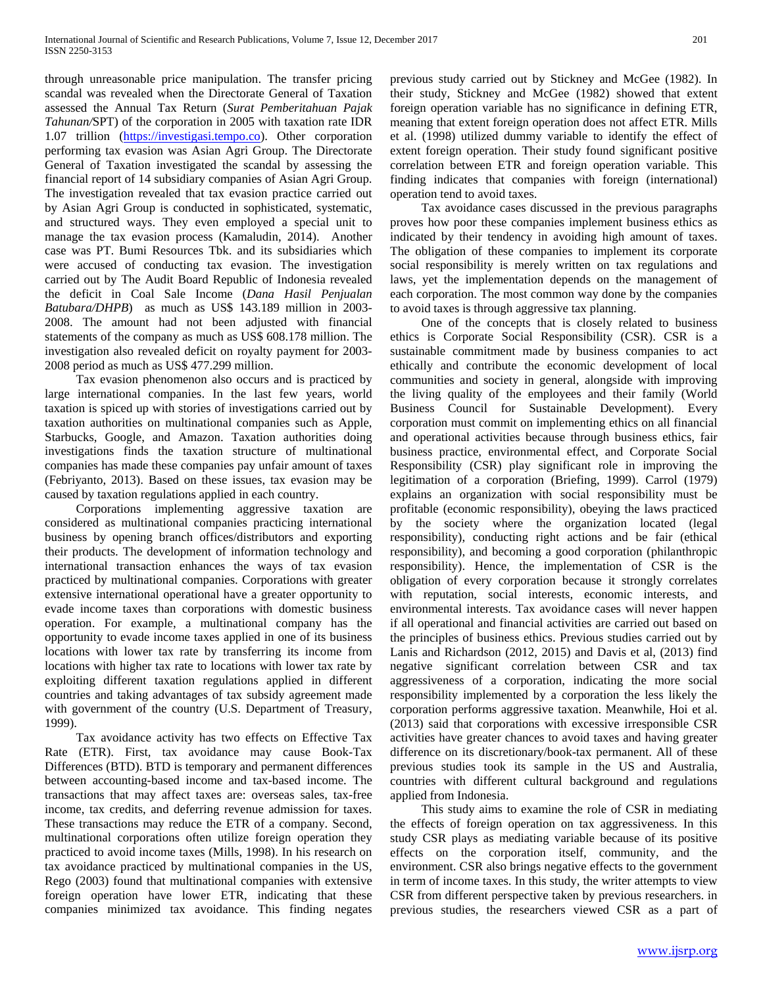through unreasonable price manipulation. The transfer pricing scandal was revealed when the Directorate General of Taxation assessed the Annual Tax Return (*Surat Pemberitahuan Pajak Tahunan/*SPT) of the corporation in 2005 with taxation rate IDR 1.07 trillion [\(https://investigasi.tempo.co\)](https://investigasi.tempo.co/). Other corporation performing tax evasion was Asian Agri Group. The Directorate General of Taxation investigated the scandal by assessing the financial report of 14 subsidiary companies of Asian Agri Group. The investigation revealed that tax evasion practice carried out by Asian Agri Group is conducted in sophisticated, systematic, and structured ways. They even employed a special unit to manage the tax evasion process (Kamaludin, 2014). Another case was PT. Bumi Resources Tbk. and its subsidiaries which were accused of conducting tax evasion. The investigation carried out by The Audit Board Republic of Indonesia revealed the deficit in Coal Sale Income (*Dana Hasil Penjualan Batubara/DHPB*) as much as US\$ 143.189 million in 2003- 2008. The amount had not been adjusted with financial statements of the company as much as US\$ 608.178 million. The investigation also revealed deficit on royalty payment for 2003- 2008 period as much as US\$ 477.299 million.

 Tax evasion phenomenon also occurs and is practiced by large international companies. In the last few years, world taxation is spiced up with stories of investigations carried out by taxation authorities on multinational companies such as Apple, Starbucks, Google, and Amazon. Taxation authorities doing investigations finds the taxation structure of multinational companies has made these companies pay unfair amount of taxes (Febriyanto, 2013). Based on these issues, tax evasion may be caused by taxation regulations applied in each country.

 Corporations implementing aggressive taxation are considered as multinational companies practicing international business by opening branch offices/distributors and exporting their products. The development of information technology and international transaction enhances the ways of tax evasion practiced by multinational companies. Corporations with greater extensive international operational have a greater opportunity to evade income taxes than corporations with domestic business operation. For example, a multinational company has the opportunity to evade income taxes applied in one of its business locations with lower tax rate by transferring its income from locations with higher tax rate to locations with lower tax rate by exploiting different taxation regulations applied in different countries and taking advantages of tax subsidy agreement made with government of the country (U.S. Department of Treasury, 1999).

 Tax avoidance activity has two effects on Effective Tax Rate (ETR). First, tax avoidance may cause Book-Tax Differences (BTD). BTD is temporary and permanent differences between accounting-based income and tax-based income. The transactions that may affect taxes are: overseas sales, tax-free income, tax credits, and deferring revenue admission for taxes. These transactions may reduce the ETR of a company. Second, multinational corporations often utilize foreign operation they practiced to avoid income taxes (Mills, 1998). In his research on tax avoidance practiced by multinational companies in the US, Rego (2003) found that multinational companies with extensive foreign operation have lower ETR, indicating that these companies minimized tax avoidance. This finding negates

previous study carried out by Stickney and McGee (1982). In their study, Stickney and McGee (1982) showed that extent foreign operation variable has no significance in defining ETR, meaning that extent foreign operation does not affect ETR. Mills et al. (1998) utilized dummy variable to identify the effect of extent foreign operation. Their study found significant positive correlation between ETR and foreign operation variable. This finding indicates that companies with foreign (international) operation tend to avoid taxes.

 Tax avoidance cases discussed in the previous paragraphs proves how poor these companies implement business ethics as indicated by their tendency in avoiding high amount of taxes. The obligation of these companies to implement its corporate social responsibility is merely written on tax regulations and laws, yet the implementation depends on the management of each corporation. The most common way done by the companies to avoid taxes is through aggressive tax planning.

 One of the concepts that is closely related to business ethics is Corporate Social Responsibility (CSR). CSR is a sustainable commitment made by business companies to act ethically and contribute the economic development of local communities and society in general, alongside with improving the living quality of the employees and their family (World Business Council for Sustainable Development). Every corporation must commit on implementing ethics on all financial and operational activities because through business ethics, fair business practice, environmental effect, and Corporate Social Responsibility (CSR) play significant role in improving the legitimation of a corporation (Briefing, 1999). Carrol (1979) explains an organization with social responsibility must be profitable (economic responsibility), obeying the laws practiced by the society where the organization located (legal responsibility), conducting right actions and be fair (ethical responsibility), and becoming a good corporation (philanthropic responsibility). Hence, the implementation of CSR is the obligation of every corporation because it strongly correlates with reputation, social interests, economic interests, and environmental interests. Tax avoidance cases will never happen if all operational and financial activities are carried out based on the principles of business ethics. Previous studies carried out by Lanis and Richardson (2012, 2015) and Davis et al, (2013) find negative significant correlation between CSR and tax aggressiveness of a corporation, indicating the more social responsibility implemented by a corporation the less likely the corporation performs aggressive taxation. Meanwhile, Hoi et al. (2013) said that corporations with excessive irresponsible CSR activities have greater chances to avoid taxes and having greater difference on its discretionary/book-tax permanent. All of these previous studies took its sample in the US and Australia, countries with different cultural background and regulations applied from Indonesia.

 This study aims to examine the role of CSR in mediating the effects of foreign operation on tax aggressiveness. In this study CSR plays as mediating variable because of its positive effects on the corporation itself, community, and the environment. CSR also brings negative effects to the government in term of income taxes. In this study, the writer attempts to view CSR from different perspective taken by previous researchers. in previous studies, the researchers viewed CSR as a part of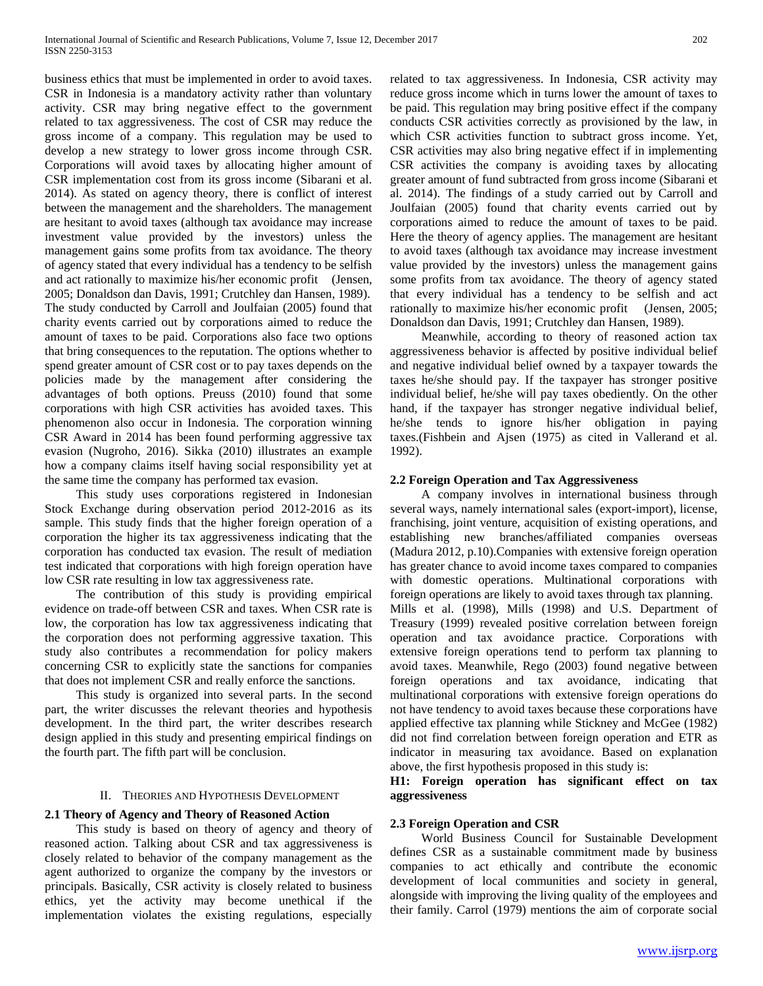business ethics that must be implemented in order to avoid taxes. CSR in Indonesia is a mandatory activity rather than voluntary activity. CSR may bring negative effect to the government related to tax aggressiveness. The cost of CSR may reduce the gross income of a company. This regulation may be used to develop a new strategy to lower gross income through CSR. Corporations will avoid taxes by allocating higher amount of CSR implementation cost from its gross income (Sibarani et al. 2014). As stated on agency theory, there is conflict of interest between the management and the shareholders. The management are hesitant to avoid taxes (although tax avoidance may increase investment value provided by the investors) unless the management gains some profits from tax avoidance. The theory of agency stated that every individual has a tendency to be selfish and act rationally to maximize his/her economic profit (Jensen, 2005; Donaldson dan Davis, 1991; Crutchley dan Hansen, 1989). The study conducted by Carroll and Joulfaian (2005) found that charity events carried out by corporations aimed to reduce the amount of taxes to be paid. Corporations also face two options that bring consequences to the reputation. The options whether to spend greater amount of CSR cost or to pay taxes depends on the policies made by the management after considering the advantages of both options. Preuss (2010) found that some corporations with high CSR activities has avoided taxes. This phenomenon also occur in Indonesia. The corporation winning CSR Award in 2014 has been found performing aggressive tax evasion (Nugroho, 2016). Sikka (2010) illustrates an example how a company claims itself having social responsibility yet at the same time the company has performed tax evasion.

 This study uses corporations registered in Indonesian Stock Exchange during observation period 2012-2016 as its sample. This study finds that the higher foreign operation of a corporation the higher its tax aggressiveness indicating that the corporation has conducted tax evasion. The result of mediation test indicated that corporations with high foreign operation have low CSR rate resulting in low tax aggressiveness rate.

 The contribution of this study is providing empirical evidence on trade-off between CSR and taxes. When CSR rate is low, the corporation has low tax aggressiveness indicating that the corporation does not performing aggressive taxation. This study also contributes a recommendation for policy makers concerning CSR to explicitly state the sanctions for companies that does not implement CSR and really enforce the sanctions.

 This study is organized into several parts. In the second part, the writer discusses the relevant theories and hypothesis development. In the third part, the writer describes research design applied in this study and presenting empirical findings on the fourth part. The fifth part will be conclusion.

#### II. THEORIES AND HYPOTHESIS DEVELOPMENT

#### **2.1 Theory of Agency and Theory of Reasoned Action**

 This study is based on theory of agency and theory of reasoned action. Talking about CSR and tax aggressiveness is closely related to behavior of the company management as the agent authorized to organize the company by the investors or principals. Basically, CSR activity is closely related to business ethics, yet the activity may become unethical if the implementation violates the existing regulations, especially related to tax aggressiveness. In Indonesia, CSR activity may reduce gross income which in turns lower the amount of taxes to be paid. This regulation may bring positive effect if the company conducts CSR activities correctly as provisioned by the law, in which CSR activities function to subtract gross income. Yet, CSR activities may also bring negative effect if in implementing CSR activities the company is avoiding taxes by allocating greater amount of fund subtracted from gross income (Sibarani et al. 2014). The findings of a study carried out by Carroll and Joulfaian (2005) found that charity events carried out by corporations aimed to reduce the amount of taxes to be paid. Here the theory of agency applies. The management are hesitant to avoid taxes (although tax avoidance may increase investment value provided by the investors) unless the management gains some profits from tax avoidance. The theory of agency stated that every individual has a tendency to be selfish and act rationally to maximize his/her economic profit (Jensen, 2005; Donaldson dan Davis, 1991; Crutchley dan Hansen, 1989).

 Meanwhile, according to theory of reasoned action tax aggressiveness behavior is affected by positive individual belief and negative individual belief owned by a taxpayer towards the taxes he/she should pay. If the taxpayer has stronger positive individual belief, he/she will pay taxes obediently. On the other hand, if the taxpayer has stronger negative individual belief, he/she tends to ignore his/her obligation in paying taxes.(Fishbein and Ajsen (1975) as cited in Vallerand et al. 1992).

### **2.2 Foreign Operation and Tax Aggressiveness**

 A company involves in international business through several ways, namely international sales (export-import), license, franchising, joint venture, acquisition of existing operations, and establishing new branches/affiliated companies overseas (Madura 2012, p.10).Companies with extensive foreign operation has greater chance to avoid income taxes compared to companies with domestic operations. Multinational corporations with foreign operations are likely to avoid taxes through tax planning. Mills et al. (1998), Mills (1998) and U.S. Department of Treasury (1999) revealed positive correlation between foreign operation and tax avoidance practice. Corporations with extensive foreign operations tend to perform tax planning to avoid taxes. Meanwhile, Rego (2003) found negative between foreign operations and tax avoidance, indicating that multinational corporations with extensive foreign operations do not have tendency to avoid taxes because these corporations have applied effective tax planning while Stickney and McGee (1982) did not find correlation between foreign operation and ETR as indicator in measuring tax avoidance. Based on explanation above, the first hypothesis proposed in this study is:

**H1: Foreign operation has significant effect on tax aggressiveness**

#### **2.3 Foreign Operation and CSR**

 World Business Council for Sustainable Development defines CSR as a sustainable commitment made by business companies to act ethically and contribute the economic development of local communities and society in general, alongside with improving the living quality of the employees and their family. Carrol (1979) mentions the aim of corporate social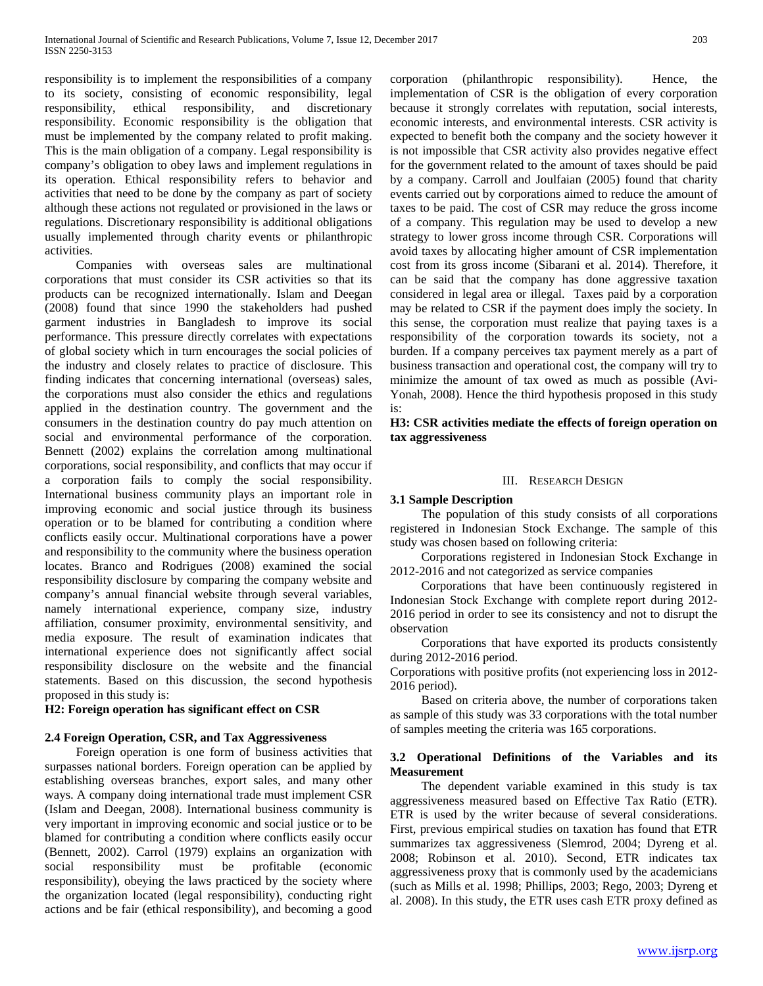responsibility is to implement the responsibilities of a company to its society, consisting of economic responsibility, legal responsibility, ethical responsibility, and discretionary responsibility. Economic responsibility is the obligation that must be implemented by the company related to profit making. This is the main obligation of a company. Legal responsibility is company's obligation to obey laws and implement regulations in its operation. Ethical responsibility refers to behavior and activities that need to be done by the company as part of society although these actions not regulated or provisioned in the laws or regulations. Discretionary responsibility is additional obligations usually implemented through charity events or philanthropic activities.

 Companies with overseas sales are multinational corporations that must consider its CSR activities so that its products can be recognized internationally. Islam and Deegan (2008) found that since 1990 the stakeholders had pushed garment industries in Bangladesh to improve its social performance. This pressure directly correlates with expectations of global society which in turn encourages the social policies of the industry and closely relates to practice of disclosure. This finding indicates that concerning international (overseas) sales, the corporations must also consider the ethics and regulations applied in the destination country. The government and the consumers in the destination country do pay much attention on social and environmental performance of the corporation. Bennett (2002) explains the correlation among multinational corporations, social responsibility, and conflicts that may occur if a corporation fails to comply the social responsibility. International business community plays an important role in improving economic and social justice through its business operation or to be blamed for contributing a condition where conflicts easily occur. Multinational corporations have a power and responsibility to the community where the business operation locates. Branco and Rodrigues (2008) examined the social responsibility disclosure by comparing the company website and company's annual financial website through several variables, namely international experience, company size, industry affiliation, consumer proximity, environmental sensitivity, and media exposure. The result of examination indicates that international experience does not significantly affect social responsibility disclosure on the website and the financial statements. Based on this discussion, the second hypothesis proposed in this study is:

#### **H2: Foreign operation has significant effect on CSR**

# **2.4 Foreign Operation, CSR, and Tax Aggressiveness**

 Foreign operation is one form of business activities that surpasses national borders. Foreign operation can be applied by establishing overseas branches, export sales, and many other ways. A company doing international trade must implement CSR (Islam and Deegan, 2008). International business community is very important in improving economic and social justice or to be blamed for contributing a condition where conflicts easily occur (Bennett, 2002). Carrol (1979) explains an organization with social responsibility must be profitable (economic responsibility), obeying the laws practiced by the society where the organization located (legal responsibility), conducting right actions and be fair (ethical responsibility), and becoming a good

corporation (philanthropic responsibility). Hence, the implementation of CSR is the obligation of every corporation because it strongly correlates with reputation, social interests, economic interests, and environmental interests. CSR activity is expected to benefit both the company and the society however it is not impossible that CSR activity also provides negative effect for the government related to the amount of taxes should be paid by a company. Carroll and Joulfaian (2005) found that charity events carried out by corporations aimed to reduce the amount of taxes to be paid. The cost of CSR may reduce the gross income of a company. This regulation may be used to develop a new strategy to lower gross income through CSR. Corporations will avoid taxes by allocating higher amount of CSR implementation cost from its gross income (Sibarani et al. 2014). Therefore, it can be said that the company has done aggressive taxation considered in legal area or illegal. Taxes paid by a corporation may be related to CSR if the payment does imply the society. In this sense, the corporation must realize that paying taxes is a responsibility of the corporation towards its society, not a burden. If a company perceives tax payment merely as a part of business transaction and operational cost, the company will try to minimize the amount of tax owed as much as possible (Avi-Yonah, 2008). Hence the third hypothesis proposed in this study is:

#### **H3: CSR activities mediate the effects of foreign operation on tax aggressiveness**

#### III. RESEARCH DESIGN

#### **3.1 Sample Description**

 The population of this study consists of all corporations registered in Indonesian Stock Exchange. The sample of this study was chosen based on following criteria:

 Corporations registered in Indonesian Stock Exchange in 2012-2016 and not categorized as service companies

 Corporations that have been continuously registered in Indonesian Stock Exchange with complete report during 2012- 2016 period in order to see its consistency and not to disrupt the observation

 Corporations that have exported its products consistently during 2012-2016 period.

Corporations with positive profits (not experiencing loss in 2012- 2016 period).

 Based on criteria above, the number of corporations taken as sample of this study was 33 corporations with the total number of samples meeting the criteria was 165 corporations.

#### **3.2 Operational Definitions of the Variables and its Measurement**

 The dependent variable examined in this study is tax aggressiveness measured based on Effective Tax Ratio (ETR). ETR is used by the writer because of several considerations. First, previous empirical studies on taxation has found that ETR summarizes tax aggressiveness (Slemrod, 2004; Dyreng et al. 2008; Robinson et al. 2010). Second, ETR indicates tax aggressiveness proxy that is commonly used by the academicians (such as Mills et al. 1998; Phillips, 2003; Rego, 2003; Dyreng et al. 2008). In this study, the ETR uses cash ETR proxy defined as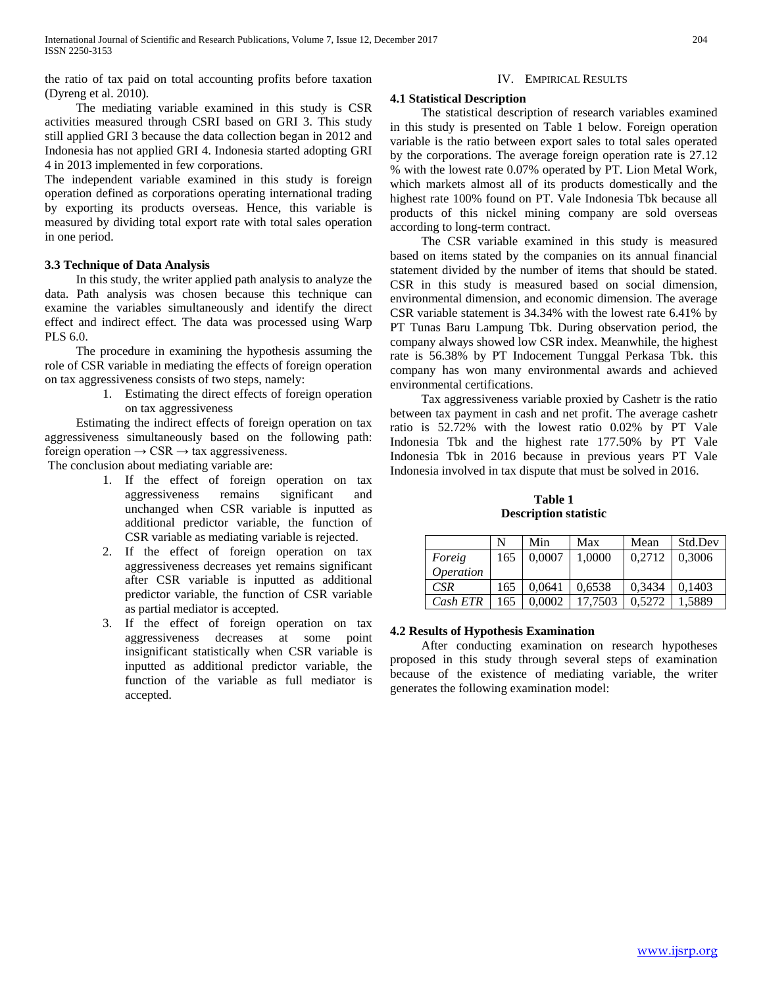the ratio of tax paid on total accounting profits before taxation (Dyreng et al. 2010).

 The mediating variable examined in this study is CSR activities measured through CSRI based on GRI 3. This study still applied GRI 3 because the data collection began in 2012 and Indonesia has not applied GRI 4. Indonesia started adopting GRI 4 in 2013 implemented in few corporations.

The independent variable examined in this study is foreign operation defined as corporations operating international trading by exporting its products overseas. Hence, this variable is measured by dividing total export rate with total sales operation in one period.

# **3.3 Technique of Data Analysis**

 In this study, the writer applied path analysis to analyze the data. Path analysis was chosen because this technique can examine the variables simultaneously and identify the direct effect and indirect effect. The data was processed using Warp PLS 6.0.

 The procedure in examining the hypothesis assuming the role of CSR variable in mediating the effects of foreign operation on tax aggressiveness consists of two steps, namely:

> 1. Estimating the direct effects of foreign operation on tax aggressiveness

 Estimating the indirect effects of foreign operation on tax aggressiveness simultaneously based on the following path: foreign operation  $\rightarrow$  CSR  $\rightarrow$  tax aggressiveness.

The conclusion about mediating variable are:

- 1. If the effect of foreign operation on tax aggressiveness remains significant and unchanged when CSR variable is inputted as additional predictor variable, the function of CSR variable as mediating variable is rejected.
- 2. If the effect of foreign operation on tax aggressiveness decreases yet remains significant after CSR variable is inputted as additional predictor variable, the function of CSR variable as partial mediator is accepted.
- 3. If the effect of foreign operation on tax aggressiveness decreases at some point insignificant statistically when CSR variable is inputted as additional predictor variable, the function of the variable as full mediator is accepted.

# IV. EMPIRICAL RESULTS

# **4.1 Statistical Description**

 The statistical description of research variables examined in this study is presented on Table 1 below. Foreign operation variable is the ratio between export sales to total sales operated by the corporations. The average foreign operation rate is 27.12 % with the lowest rate 0.07% operated by PT. Lion Metal Work, which markets almost all of its products domestically and the highest rate 100% found on PT. Vale Indonesia Tbk because all products of this nickel mining company are sold overseas according to long-term contract.

 The CSR variable examined in this study is measured based on items stated by the companies on its annual financial statement divided by the number of items that should be stated. CSR in this study is measured based on social dimension, environmental dimension, and economic dimension. The average CSR variable statement is 34.34% with the lowest rate 6.41% by PT Tunas Baru Lampung Tbk. During observation period, the company always showed low CSR index. Meanwhile, the highest rate is 56.38% by PT Indocement Tunggal Perkasa Tbk. this company has won many environmental awards and achieved environmental certifications.

 Tax aggressiveness variable proxied by Cashetr is the ratio between tax payment in cash and net profit. The average cashetr ratio is 52.72% with the lowest ratio 0.02% by PT Vale Indonesia Tbk and the highest rate 177.50% by PT Vale Indonesia Tbk in 2016 because in previous years PT Vale Indonesia involved in tax dispute that must be solved in 2016.

**Table 1 Description statistic**

|                  | N   | Min    | Max     | Mean   | Std.Dev |
|------------------|-----|--------|---------|--------|---------|
| Foreig           | 165 | 0.0007 | 1.0000  | 0.2712 | 0.3006  |
| <i>Operation</i> |     |        |         |        |         |
| CSR              | 165 | 0.0641 | 0.6538  | 0.3434 | 0.1403  |
| Cash ETR         | 165 | 0.0002 | 17.7503 | 0.5272 | 1,5889  |

# **4.2 Results of Hypothesis Examination**

 After conducting examination on research hypotheses proposed in this study through several steps of examination because of the existence of mediating variable, the writer generates the following examination model: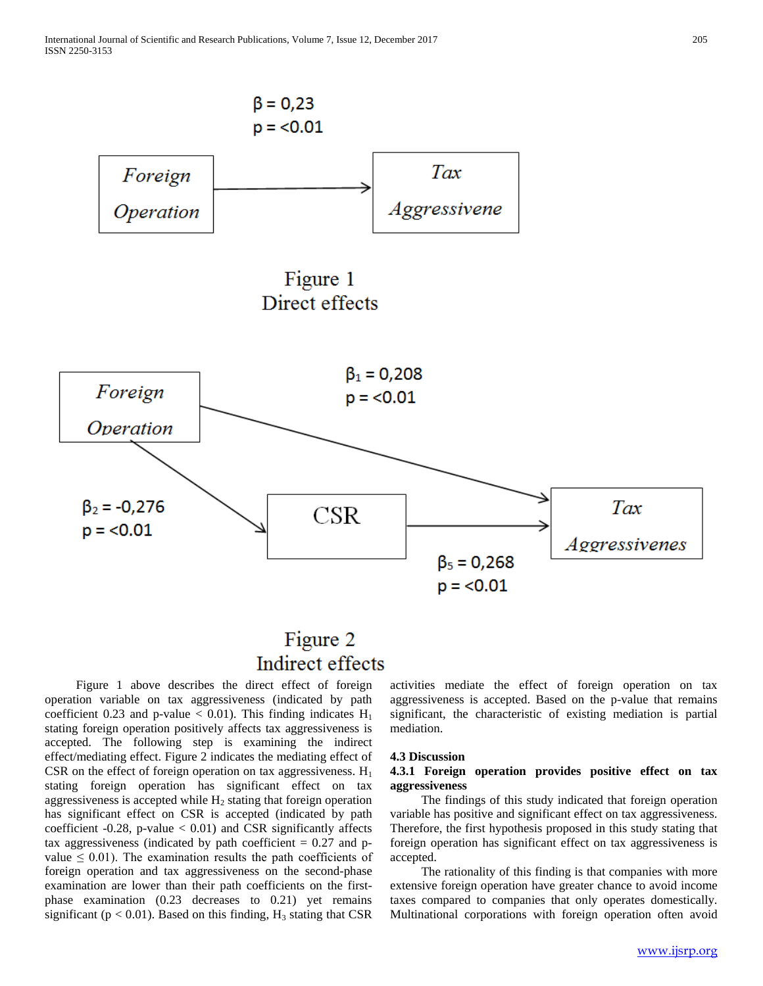

# Figure 2 Indirect effects

 Figure 1 above describes the direct effect of foreign operation variable on tax aggressiveness (indicated by path coefficient 0.23 and p-value  $< 0.01$ ). This finding indicates  $H_1$ stating foreign operation positively affects tax aggressiveness is accepted. The following step is examining the indirect effect/mediating effect. Figure 2 indicates the mediating effect of CSR on the effect of foreign operation on tax aggressiveness.  $H_1$ stating foreign operation has significant effect on tax aggressiveness is accepted while  $H_2$  stating that foreign operation has significant effect on CSR is accepted (indicated by path coefficient -0.28, p-value  $< 0.01$ ) and CSR significantly affects tax aggressiveness (indicated by path coefficient  $= 0.27$  and pvalue  $\leq 0.01$ ). The examination results the path coefficients of foreign operation and tax aggressiveness on the second-phase examination are lower than their path coefficients on the firstphase examination (0.23 decreases to 0.21) yet remains significant ( $p < 0.01$ ). Based on this finding,  $H_3$  stating that CSR

activities mediate the effect of foreign operation on tax aggressiveness is accepted. Based on the p-value that remains significant, the characteristic of existing mediation is partial mediation.

#### **4.3 Discussion**

#### **4.3.1 Foreign operation provides positive effect on tax aggressiveness**

 The findings of this study indicated that foreign operation variable has positive and significant effect on tax aggressiveness. Therefore, the first hypothesis proposed in this study stating that foreign operation has significant effect on tax aggressiveness is accepted.

 The rationality of this finding is that companies with more extensive foreign operation have greater chance to avoid income taxes compared to companies that only operates domestically. Multinational corporations with foreign operation often avoid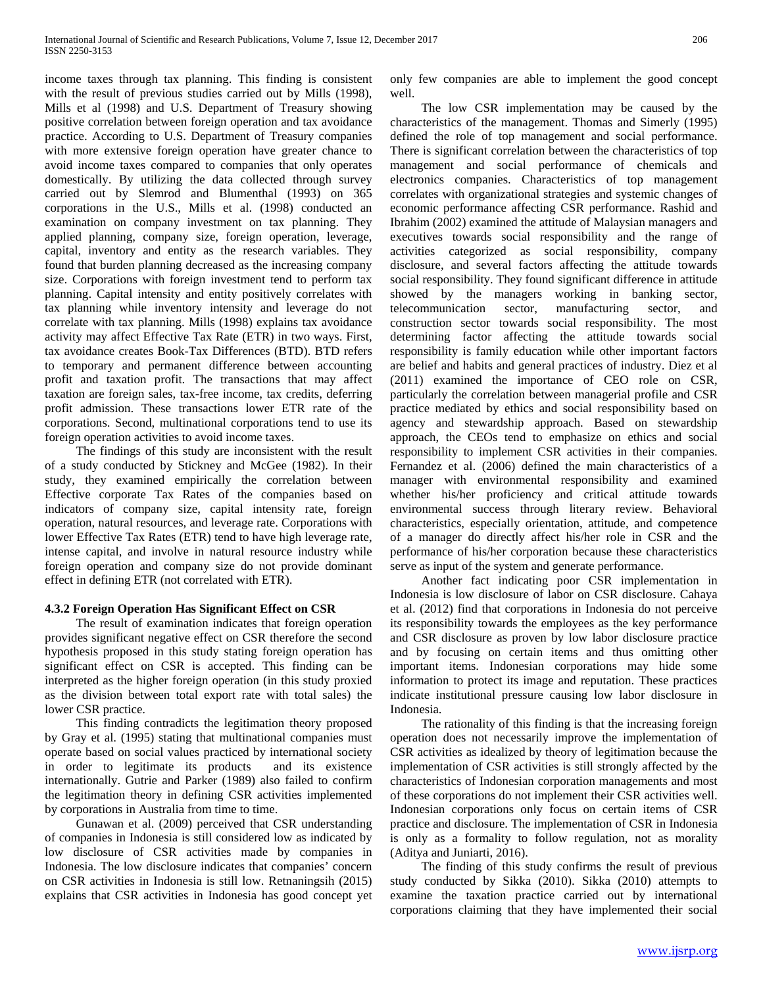income taxes through tax planning. This finding is consistent with the result of previous studies carried out by Mills (1998), Mills et al (1998) and U.S. Department of Treasury showing positive correlation between foreign operation and tax avoidance practice. According to U.S. Department of Treasury companies with more extensive foreign operation have greater chance to avoid income taxes compared to companies that only operates domestically. By utilizing the data collected through survey carried out by Slemrod and Blumenthal (1993) on 365 corporations in the U.S., Mills et al. (1998) conducted an examination on company investment on tax planning. They applied planning, company size, foreign operation, leverage, capital, inventory and entity as the research variables. They found that burden planning decreased as the increasing company size. Corporations with foreign investment tend to perform tax planning. Capital intensity and entity positively correlates with tax planning while inventory intensity and leverage do not correlate with tax planning. Mills (1998) explains tax avoidance activity may affect Effective Tax Rate (ETR) in two ways. First, tax avoidance creates Book-Tax Differences (BTD). BTD refers to temporary and permanent difference between accounting profit and taxation profit. The transactions that may affect taxation are foreign sales, tax-free income, tax credits, deferring profit admission. These transactions lower ETR rate of the corporations. Second, multinational corporations tend to use its foreign operation activities to avoid income taxes.

 The findings of this study are inconsistent with the result of a study conducted by Stickney and McGee (1982). In their study, they examined empirically the correlation between Effective corporate Tax Rates of the companies based on indicators of company size, capital intensity rate, foreign operation, natural resources, and leverage rate. Corporations with lower Effective Tax Rates (ETR) tend to have high leverage rate, intense capital, and involve in natural resource industry while foreign operation and company size do not provide dominant effect in defining ETR (not correlated with ETR).

# **4.3.2 Foreign Operation Has Significant Effect on CSR**

 The result of examination indicates that foreign operation provides significant negative effect on CSR therefore the second hypothesis proposed in this study stating foreign operation has significant effect on CSR is accepted. This finding can be interpreted as the higher foreign operation (in this study proxied as the division between total export rate with total sales) the lower CSR practice.

 This finding contradicts the legitimation theory proposed by Gray et al. (1995) stating that multinational companies must operate based on social values practiced by international society in order to legitimate its products and its existence internationally. Gutrie and Parker (1989) also failed to confirm the legitimation theory in defining CSR activities implemented by corporations in Australia from time to time.

 Gunawan et al. (2009) perceived that CSR understanding of companies in Indonesia is still considered low as indicated by low disclosure of CSR activities made by companies in Indonesia. The low disclosure indicates that companies' concern on CSR activities in Indonesia is still low. Retnaningsih (2015) explains that CSR activities in Indonesia has good concept yet only few companies are able to implement the good concept well.

 The low CSR implementation may be caused by the characteristics of the management. Thomas and Simerly (1995) defined the role of top management and social performance. There is significant correlation between the characteristics of top management and social performance of chemicals and electronics companies. Characteristics of top management correlates with organizational strategies and systemic changes of economic performance affecting CSR performance. Rashid and Ibrahim (2002) examined the attitude of Malaysian managers and executives towards social responsibility and the range of activities categorized as social responsibility, company disclosure, and several factors affecting the attitude towards social responsibility. They found significant difference in attitude showed by the managers working in banking sector, telecommunication sector, manufacturing sector, and construction sector towards social responsibility. The most determining factor affecting the attitude towards social responsibility is family education while other important factors are belief and habits and general practices of industry. Diez et al (2011) examined the importance of CEO role on CSR, particularly the correlation between managerial profile and CSR practice mediated by ethics and social responsibility based on agency and stewardship approach. Based on stewardship approach, the CEOs tend to emphasize on ethics and social responsibility to implement CSR activities in their companies. Fernandez et al. (2006) defined the main characteristics of a manager with environmental responsibility and examined whether his/her proficiency and critical attitude towards environmental success through literary review. Behavioral characteristics, especially orientation, attitude, and competence of a manager do directly affect his/her role in CSR and the performance of his/her corporation because these characteristics serve as input of the system and generate performance.

 Another fact indicating poor CSR implementation in Indonesia is low disclosure of labor on CSR disclosure. Cahaya et al. (2012) find that corporations in Indonesia do not perceive its responsibility towards the employees as the key performance and CSR disclosure as proven by low labor disclosure practice and by focusing on certain items and thus omitting other important items. Indonesian corporations may hide some information to protect its image and reputation. These practices indicate institutional pressure causing low labor disclosure in Indonesia.

 The rationality of this finding is that the increasing foreign operation does not necessarily improve the implementation of CSR activities as idealized by theory of legitimation because the implementation of CSR activities is still strongly affected by the characteristics of Indonesian corporation managements and most of these corporations do not implement their CSR activities well. Indonesian corporations only focus on certain items of CSR practice and disclosure. The implementation of CSR in Indonesia is only as a formality to follow regulation, not as morality (Aditya and Juniarti, 2016).

 The finding of this study confirms the result of previous study conducted by Sikka (2010). Sikka (2010) attempts to examine the taxation practice carried out by international corporations claiming that they have implemented their social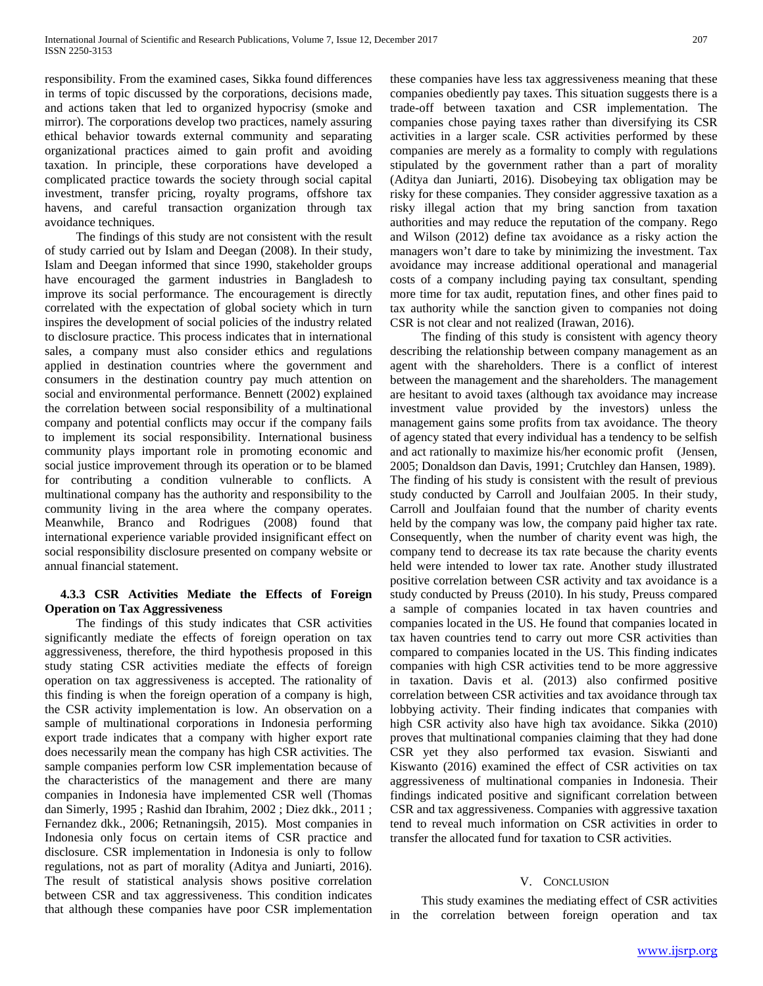responsibility. From the examined cases, Sikka found differences in terms of topic discussed by the corporations, decisions made, and actions taken that led to organized hypocrisy (smoke and mirror). The corporations develop two practices, namely assuring ethical behavior towards external community and separating organizational practices aimed to gain profit and avoiding taxation. In principle, these corporations have developed a complicated practice towards the society through social capital investment, transfer pricing, royalty programs, offshore tax havens, and careful transaction organization through tax avoidance techniques.

 The findings of this study are not consistent with the result of study carried out by Islam and Deegan (2008). In their study, Islam and Deegan informed that since 1990, stakeholder groups have encouraged the garment industries in Bangladesh to improve its social performance. The encouragement is directly correlated with the expectation of global society which in turn inspires the development of social policies of the industry related to disclosure practice. This process indicates that in international sales, a company must also consider ethics and regulations applied in destination countries where the government and consumers in the destination country pay much attention on social and environmental performance. Bennett (2002) explained the correlation between social responsibility of a multinational company and potential conflicts may occur if the company fails to implement its social responsibility. International business community plays important role in promoting economic and social justice improvement through its operation or to be blamed for contributing a condition vulnerable to conflicts. A multinational company has the authority and responsibility to the community living in the area where the company operates. Meanwhile, Branco and Rodrigues (2008) found that international experience variable provided insignificant effect on social responsibility disclosure presented on company website or annual financial statement.

# **4.3.3 CSR Activities Mediate the Effects of Foreign Operation on Tax Aggressiveness**

 The findings of this study indicates that CSR activities significantly mediate the effects of foreign operation on tax aggressiveness, therefore, the third hypothesis proposed in this study stating CSR activities mediate the effects of foreign operation on tax aggressiveness is accepted. The rationality of this finding is when the foreign operation of a company is high, the CSR activity implementation is low. An observation on a sample of multinational corporations in Indonesia performing export trade indicates that a company with higher export rate does necessarily mean the company has high CSR activities. The sample companies perform low CSR implementation because of the characteristics of the management and there are many companies in Indonesia have implemented CSR well (Thomas dan Simerly, 1995 ; Rashid dan Ibrahim, 2002 ; Diez dkk., 2011 ; Fernandez dkk., 2006; Retnaningsih, 2015). Most companies in Indonesia only focus on certain items of CSR practice and disclosure. CSR implementation in Indonesia is only to follow regulations, not as part of morality (Aditya and Juniarti, 2016). The result of statistical analysis shows positive correlation between CSR and tax aggressiveness. This condition indicates that although these companies have poor CSR implementation these companies have less tax aggressiveness meaning that these companies obediently pay taxes. This situation suggests there is a trade-off between taxation and CSR implementation. The companies chose paying taxes rather than diversifying its CSR activities in a larger scale. CSR activities performed by these companies are merely as a formality to comply with regulations stipulated by the government rather than a part of morality (Aditya dan Juniarti, 2016). Disobeying tax obligation may be risky for these companies. They consider aggressive taxation as a risky illegal action that my bring sanction from taxation authorities and may reduce the reputation of the company. Rego and Wilson (2012) define tax avoidance as a risky action the managers won't dare to take by minimizing the investment. Tax avoidance may increase additional operational and managerial costs of a company including paying tax consultant, spending more time for tax audit, reputation fines, and other fines paid to tax authority while the sanction given to companies not doing CSR is not clear and not realized (Irawan, 2016).

 The finding of this study is consistent with agency theory describing the relationship between company management as an agent with the shareholders. There is a conflict of interest between the management and the shareholders. The management are hesitant to avoid taxes (although tax avoidance may increase investment value provided by the investors) unless the management gains some profits from tax avoidance. The theory of agency stated that every individual has a tendency to be selfish and act rationally to maximize his/her economic profit (Jensen, 2005; Donaldson dan Davis, 1991; Crutchley dan Hansen, 1989). The finding of his study is consistent with the result of previous study conducted by Carroll and Joulfaian 2005. In their study, Carroll and Joulfaian found that the number of charity events held by the company was low, the company paid higher tax rate. Consequently, when the number of charity event was high, the company tend to decrease its tax rate because the charity events held were intended to lower tax rate. Another study illustrated positive correlation between CSR activity and tax avoidance is a study conducted by Preuss (2010). In his study, Preuss compared a sample of companies located in tax haven countries and companies located in the US. He found that companies located in tax haven countries tend to carry out more CSR activities than compared to companies located in the US. This finding indicates companies with high CSR activities tend to be more aggressive in taxation. Davis et al. (2013) also confirmed positive correlation between CSR activities and tax avoidance through tax lobbying activity. Their finding indicates that companies with high CSR activity also have high tax avoidance. Sikka (2010) proves that multinational companies claiming that they had done CSR yet they also performed tax evasion. Siswianti and Kiswanto (2016) examined the effect of CSR activities on tax aggressiveness of multinational companies in Indonesia. Their findings indicated positive and significant correlation between CSR and tax aggressiveness. Companies with aggressive taxation tend to reveal much information on CSR activities in order to transfer the allocated fund for taxation to CSR activities.

# V. CONCLUSION

 This study examines the mediating effect of CSR activities in the correlation between foreign operation and tax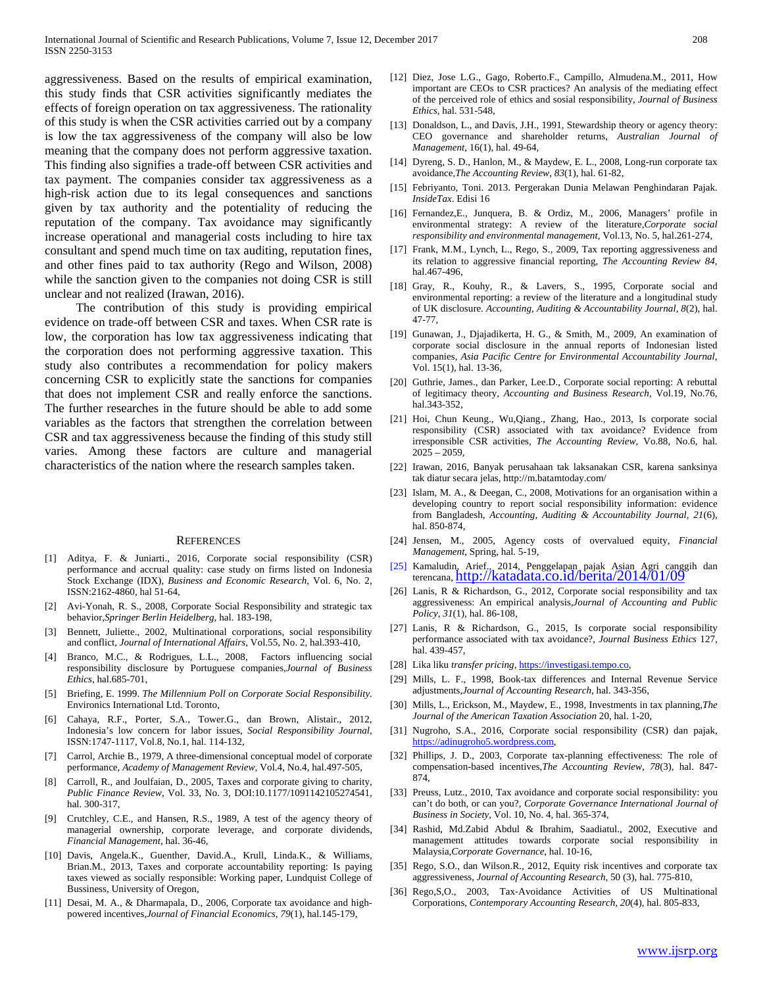aggressiveness. Based on the results of empirical examination, this study finds that CSR activities significantly mediates the effects of foreign operation on tax aggressiveness. The rationality of this study is when the CSR activities carried out by a company is low the tax aggressiveness of the company will also be low meaning that the company does not perform aggressive taxation. This finding also signifies a trade-off between CSR activities and tax payment. The companies consider tax aggressiveness as a high-risk action due to its legal consequences and sanctions given by tax authority and the potentiality of reducing the reputation of the company. Tax avoidance may significantly increase operational and managerial costs including to hire tax consultant and spend much time on tax auditing, reputation fines, and other fines paid to tax authority (Rego and Wilson, 2008) while the sanction given to the companies not doing CSR is still unclear and not realized (Irawan, 2016).

 The contribution of this study is providing empirical evidence on trade-off between CSR and taxes. When CSR rate is low, the corporation has low tax aggressiveness indicating that the corporation does not performing aggressive taxation. This study also contributes a recommendation for policy makers concerning CSR to explicitly state the sanctions for companies that does not implement CSR and really enforce the sanctions. The further researches in the future should be able to add some variables as the factors that strengthen the correlation between CSR and tax aggressiveness because the finding of this study still varies. Among these factors are culture and managerial characteristics of the nation where the research samples taken.

#### **REFERENCES**

- [1] Aditya, F. & Juniarti., 2016, Corporate social responsibility (CSR) performance and accrual quality: case study on firms listed on Indonesia Stock Exchange (IDX), *Business and Economic Research*, Vol. 6, No. 2, ISSN:2162-4860, hal 51-64,
- [2] Avi-Yonah, R. S., 2008, Corporate Social Responsibility and strategic tax behavior,*Springer Berlin Heidelberg*, hal. 183-198,
- [3] Bennett, Juliette., 2002, Multinational corporations, social responsibility and conflict, *Journal of International Affairs*, Vol.55, No. 2, hal.393-410,
- [4] Branco, M.C., & Rodrigues, L.L., 2008, Factors influencing social responsibility disclosure by Portuguese companies,*Journal of Business Ethics*, hal.685-701,
- [5] Briefing, E. 1999. *The Millennium Poll on Corporate Social Responsibility.* Environics International Ltd. Toronto,
- [6] Cahaya, R.F., Porter, S.A., Tower.G., dan Brown, Alistair., 2012, Indonesia's low concern for labor issues, *Social Responsibility Journal,*  ISSN:1747-1117, Vol.8, No.1, hal. 114-132,
- [7] Carrol, Archie B., 1979, A three-dimensional conceptual model of corporate performance, *Academy of Management Review,* Vol.4, No.4, hal.497-505,
- [8] Carroll, R., and Joulfaian, D., 2005, Taxes and corporate giving to charity, *Public Finance Review*, Vol. 33, No. 3, DOI:10.1177/1091142105274541, hal. 300-317,
- [9] Crutchley, C.E., and Hansen, R.S., 1989, A test of the agency theory of managerial ownership, corporate leverage, and corporate dividends, *Financial Management,* hal. 36-46,
- [10] Davis, Angela.K., Guenther, David.A., Krull, Linda.K., & Williams, Brian.M., 2013, Taxes and corporate accountability reporting: Is paying taxes viewed as socially responsible: Working paper, Lundquist College of Bussiness, University of Oregon,
- [11] Desai, M. A., & Dharmapala, D., 2006, Corporate tax avoidance and highpowered incentives,*Journal of Financial Economics, 79*(1), hal.145-179,
- [12] Diez, Jose L.G., Gago, Roberto.F., Campillo, Almudena.M., 2011, How important are CEOs to CSR practices? An analysis of the mediating effect of the perceived role of ethics and sosial responsibility, *Journal of Business Ethics*, hal. 531-548,
- [13] Donaldson, L., and Davis, J.H., 1991, Stewardship theory or agency theory: CEO governance and shareholder returns, *Australian Journal of Management*, 16(1), hal. 49-64,
- [14] Dyreng, S. D., Hanlon, M., & Maydew, E. L., 2008, Long-run corporate tax avoidance,*The Accounting Review, 83*(1), hal. 61-82,
- [15] Febriyanto, Toni. 2013. Pergerakan Dunia Melawan Penghindaran Pajak. *InsideTax*. Edisi 16
- [16] Fernandez,E., Junquera, B. & Ordiz, M., 2006, Managers' profile in environmental strategy: A review of the literature,*Corporate social responsibility and environmental management*, Vol.13, No. 5, hal.261-274,
- [17] Frank, M.M., Lynch, L., Rego, S., 2009, Tax reporting aggressiveness and its relation to aggressive financial reporting, *The Accounting Review 84*, hal.467-496,
- [18] Gray, R., Kouhy, R., & Lavers, S., 1995, Corporate social and environmental reporting: a review of the literature and a longitudinal study of UK disclosure. *Accounting, Auditing & Accountability Journal, 8*(2), hal. 47-77,
- [19] Gunawan, J., Djajadikerta, H. G., & Smith, M., 2009, An examination of corporate social disclosure in the annual reports of Indonesian listed companies, *Asia Pacific Centre for Environmental Accountability Journal*, Vol. 15(1), hal. 13-36,
- [20] Guthrie, James., dan Parker, Lee.D., Corporate social reporting: A rebuttal of legitimacy theory, *Accounting and Business Research*, Vol.19, No.76, hal.343-352,
- [21] Hoi, Chun Keung., Wu, Qiang., Zhang, Hao., 2013, Is corporate social responsibility (CSR) associated with tax avoidance? Evidence from irresponsible CSR activities, *The Accounting Review*, Vo.88, No.6, hal.  $2025 - 2059$ ,
- [22] Irawan, 2016, Banyak perusahaan tak laksanakan CSR, karena sanksinya tak diatur secara jelas, http://m.batamtoday.com/
- [23] Islam, M. A., & Deegan, C., 2008, Motivations for an organisation within a developing country to report social responsibility information: evidence from Bangladesh, *Accounting, Auditing & Accountability Journal, 21*(6), hal. 850-874,
- [24] Jensen, M., 2005, Agency costs of overvalued equity, *Financial Management*, Spring, hal. 5-19,
- [25] Kamaludin, Arief., 2014, Penggelapan pajak Asian Agri canggih dan terencana,<http://katadata.co.id/berita/2014/01/09>
- [26] Lanis, R & Richardson, G., 2012, Corporate social responsibility and tax aggressiveness: An empirical analysis,*Journal of Accounting and Public Policy, 31*(1), hal. 86-108,
- [27] Lanis, R & Richardson, G., 2015, Is corporate social responsibility performance associated with tax avoidance?, *Journal Business Ethics* 127, hal. 439-457,
- [28] Lika liku *transfer pricing*, [https://investigasi.tempo.co,](https://investigasi.tempo.co/)
- [29] Mills, L. F., 1998, Book-tax differences and Internal Revenue Service adjustments,*Journal of Accounting Research*, hal. 343-356,
- [30] Mills, L., Erickson, M., Maydew, E., 1998, Investments in tax planning,*The Journal of the American Taxation Association* 20, hal. 1-20,
- [31] Nugroho, S.A., 2016, Corporate social responsibility (CSR) dan pajak, [https://adinugroho5.wordpress.com,](https://adinugroho5.wordpress.com/)
- [32] Phillips, J. D., 2003, Corporate tax-planning effectiveness: The role of compensation-based incentives,*The Accounting Review, 78*(3), hal. 847- 874,
- [33] Preuss, Lutz., 2010, Tax avoidance and corporate social responsibility: you can't do both, or can you?, *Corporate Governance International Journal of Business in Society*, Vol. 10, No. 4, hal. 365-374,
- [34] Rashid, Md.Zabid Abdul & Ibrahim, Saadiatul., 2002, Executive and management attitudes towards corporate social responsibility in Malaysia,*Corporate Governance*, hal. 10-16,
- [35] Rego, S.O., dan Wilson.R., 2012, Equity risk incentives and corporate tax aggressiveness, *Journal of Accounting Research*, 50 (3), hal. 775-810,
- [36] Rego, S.O., 2003, Tax-Avoidance Activities of US Multinational Corporations, *Contemporary Accounting Research, 20*(4), hal. 805-833,